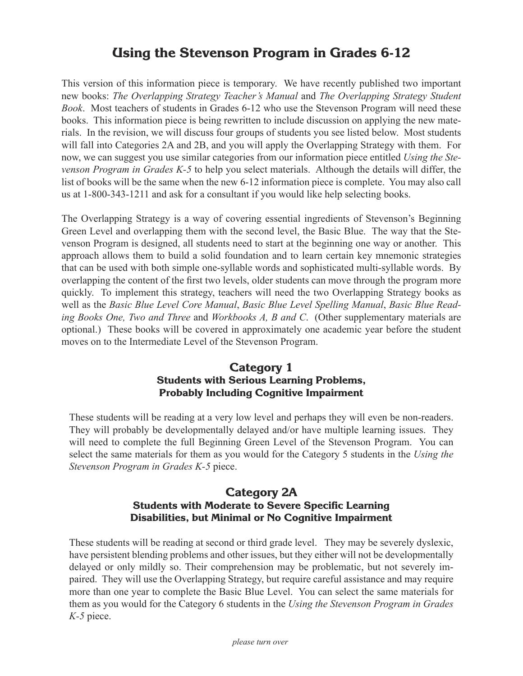# **Using the Stevenson Program in Grades 6-12**

This version of this information piece is temporary. We have recently published two important new books: *The Overlapping Strategy Teacher's Manual* and *The Overlapping Strategy Student Book*. Most teachers of students in Grades 6-12 who use the Stevenson Program will need these books. This information piece is being rewritten to include discussion on applying the new materials. In the revision, we will discuss four groups of students you see listed below. Most students will fall into Categories 2A and 2B, and you will apply the Overlapping Strategy with them. For now, we can suggest you use similar categories from our information piece entitled *Using the Stevenson Program in Grades K-5* to help you select materials. Although the details will differ, the list of books will be the same when the new 6-12 information piece is complete. You may also call us at 1-800-343-1211 and ask for a consultant if you would like help selecting books.

The Overlapping Strategy is a way of covering essential ingredients of Stevenson's Beginning Green Level and overlapping them with the second level, the Basic Blue. The way that the Stevenson Program is designed, all students need to start at the beginning one way or another. This approach allows them to build a solid foundation and to learn certain key mnemonic strategies that can be used with both simple one-syllable words and sophisticated multi-syllable words. By overlapping the content of the first two levels, older students can move through the program more quickly. To implement this strategy, teachers will need the two Overlapping Strategy books as well as the *Basic Blue Level Core Manual*, *Basic Blue Level Spelling Manual*, *Basic Blue Reading Books One, Two and Three* and *Workbooks A, B and C*. (Other supplementary materials are optional.) These books will be covered in approximately one academic year before the student moves on to the Intermediate Level of the Stevenson Program.

## **Category 1 Students with Serious Learning Problems, Probably Including Cognitive Impairment**

These students will be reading at a very low level and perhaps they will even be non-readers. They will probably be developmentally delayed and/or have multiple learning issues. They will need to complete the full Beginning Green Level of the Stevenson Program. You can select the same materials for them as you would for the Category 5 students in the *Using the Stevenson Program in Grades K-5* piece.

#### **Category 2A Students with Moderate to Severe Specific Learning Disabilities, but Minimal or No Cognitive Impairment**

These students will be reading at second or third grade level. They may be severely dyslexic, have persistent blending problems and other issues, but they either will not be developmentally delayed or only mildly so. Their comprehension may be problematic, but not severely impaired. They will use the Overlapping Strategy, but require careful assistance and may require more than one year to complete the Basic Blue Level. You can select the same materials for them as you would for the Category 6 students in the *Using the Stevenson Program in Grades K-5* piece.